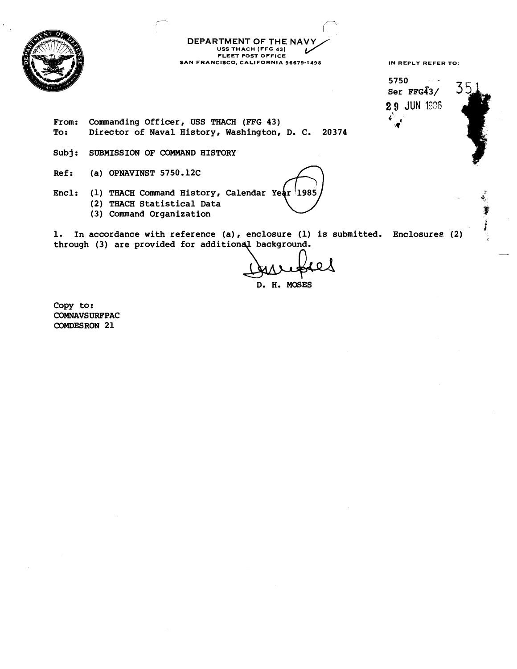

I **DEPARTMENT OF THE NAVY USS THACH (FF9 43) FLEET POST OFFICE SAN FRANCISCO. CALIFORNIA 96679-1498** 

 $\overline{\phantom{1}}$ 

**IN REPLY REFER TO:** 

**j** 

5750  $S_{\text{per}}$  FFG43/  $3\frac{5}{3}$ **2 9 JUN** 19% **<sup>d</sup>' \r'** 

**From: Commanding Officer, USS THACH (FFG 43) To: Director of Naval History, Washington, D. C. 20374** 

**Subj: SUBMISSION OF COMMAND HISTORY** 

**Ref: (a) OPNAVINST 5750.12C** 

- Encl: (1) THACH Command History, Calendar Year 1985 **(2) THACH Statistical Data** <sup>4</sup>
	- **(3) Command Organization**

**1. In accordance with reference (a), enclosure (1) is submitted. Enclosures (2) through (3) are provided for addition** -

**D. H. MOSES** 

**Copy to** : **COMNAVSURFPAC COMDESRON 21**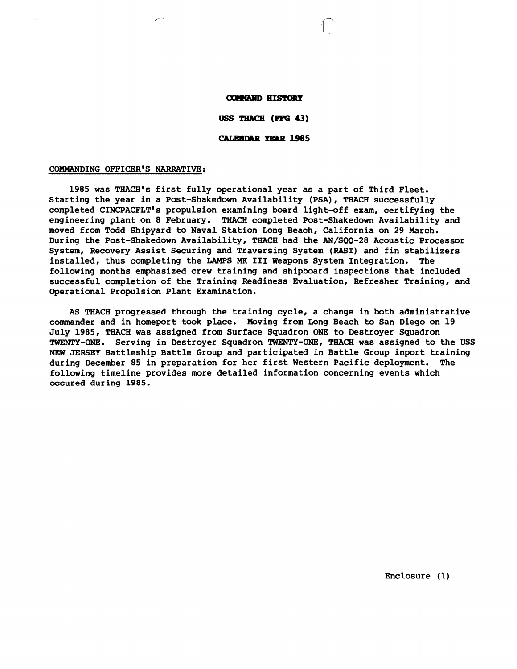#### **COMMAND HISTORY**

USS THACH (FFG 43)

### **CALENDAR YEAR 1985**

#### COMMANDING OFFICER'S NARRATIVE:

**1985 was THACH's first fully operational year as a part of Third Fleet. Starting the year in a Post-Shakedown Availability (PSA), THACH successfully completed CINCPACFLT's propulsion examining board light-off exam, certifying the engineering plant on 8 February. THACH completed Post-Shakedown Availability and moved from Todd Shipyard to Naval Station Long Beach, California on 29 March. During the Post-Shakedown Availability, THACH had the AN/SQQ-28 Acoustic Processor System, Recovery Assist Securing and Traversing System (RAST) and fin stabilizers installed, thus completing the LAMPS MK I11 Weapons System Integration. The following months emphasized crew training and shipboard inspections that included successful completion of the Training Readiness Evaluation, Refresher Training, and Operational Propulsion Plant Examination.** 

**AS THACH progressed through the training cycle, a change in both administrative commander and in homeport took place. Moving from Long Beach to San Diego on 19 July 1985, THACH was assigned from Surface \$quadron ONE to Destroyer Squadron TWENTY-ONE. Serving in Destroyer Squadron TWENTY-ONE, THACH was assigned to the USS**  NEW JERSEY Battleship Battle Group and participated in Battle Group inport training **during December 85 in preparation for her first Western Pacific deployment. The following timeline provides more detailed information concerning events which occured during 1985.**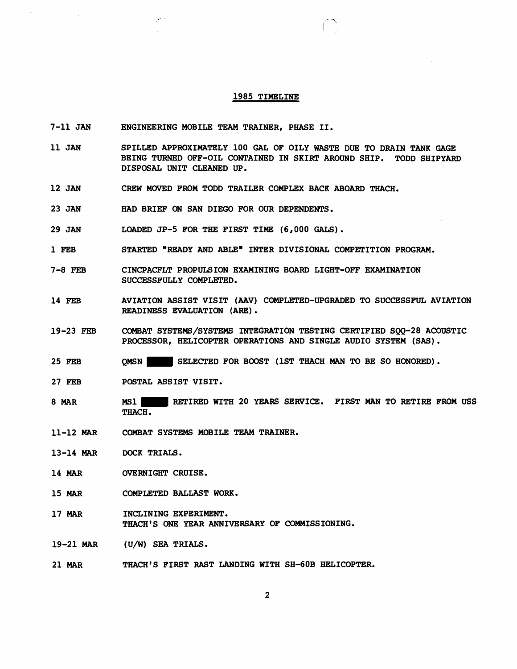#### 1985 TIMELINE

- 7-11 JAN ENGINEERING MOBILE TEAM TRAINER, PHASE 11.
- 11 JAN SPILLED APPROXIMATELY 100 GAL OF OILY WASTE DUE TO DRAIN TANK GAGE BEING TURNED OFF-OIL CONTAINED IN SKIRT AROUND SHIP. TODD SHIPYARD DISPOSAL UNIT CLEANED UP.
- 12 JAN CREW MOVED FROM TODD TRAILER COMPLEX BACK ABOARD THACH.
- 23 JAN HAD BRIEF ON SAN DIEGO FOR OUR DEPENDENTS.
- 29 JAN LOADED JP-5 FOR THE FIRST TIME (6,000 GALS).
- 1 FEB STARTED "READY AND **ABLE"** INTER DIVISIONAL COMPETITION PROGRAM.
- 7-8 FEB CINCPACFLT PROPULSION EXAMINING BOARD LIGHT-OFF EXAMINATION SUCCESSFULLY COMPLETED.
- 14 FEB AVIATION ASSIST VISIT (AAV) COMPLETED-UPGRADED TO SUCCESSFUL AVIATION READINESS EVALUATION (ARE) .
- 19-23 FEB COMBAT SYSTEMS/SYSTEMS INTEGNTION TESTING CERTIFIED SQQ-28 ACOUSTIC PROCESSOR, HELICOPTER OPERATIONS AND SINGLE AUDIO SYSTEM (SAS).
- 25 **FEB**  QMSN SELECTED FOR BOOST (1ST THACH **MAN** TO BE SO HONORED).
- 27 FEB POSTAL ASSIST VISIT.
- 8 MAR MS1 RETIRED WITH 20 YEARS SERVICE. FIRST MAN TO RETIRE FROM USS THACH.
- 11-12 MAR COMBAT SYSTEMS MOBILE TEAM TRAINER.
- 13-14 MAR DOCK TRIALS.
- 14 MAR OVERNIGHT CRUISE.
- 15 MAR COMPLETED BALLAST WORK.
- 17 MAR INCLINING EXPERIMENT. THACH'S **ONE** YEAR ANNIVERSARY OF COMMISSIONING.
- 19-21 MAR (U/W) SEA TRIALS.
- 21 MAR THACH'S FIRST RAST LANDING WITH SH-60B HELICOPTER.

 $\overline{2}$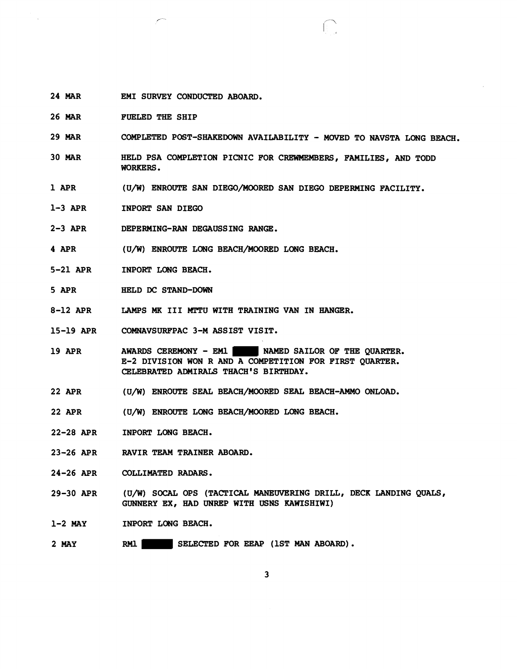- 24 MAR EM1 SURVEY CONDUCTED ABOARD.
- 26 MAR FUELED THE SHIP
- 29 MAR COMPLETED POST-SHAKEDOWN AVAILABILITY - MOVED TO NAVSTA LONG BEACH.
- 30 MAR HELD PSA COMPLETION PICNIC FOR CREWMEMBERS, FAMILIES, AND TODD WORKERS.
- 1 APR (U/W) ENROUTE SAN DIEGO/MOORED SAN DIEGO DEPERMING FACILITY.
- 1-3 APR INPORT SAN DIEGO
- 2-3 APR DEPERMING-RAN DEGAUSSING **RANGB** .
- 4 APR (U/W) ENROUTE LONG BEACH/MOORED LONG BEACH.
- 5-21 APR INPORT LONG BEACH.
- 5 APR HELD **DC** STAND-DOWN
- 8-12 APR LAMPS **MK** I11 MTTU WITH TRAINING VAN IN HANGER.
- 15-19 APR COMNAVSURFPAC 3-M ASSIST VISIT.
- 19 APR AWARDS CEREMONY - EM1 NAMED SAILOR OF THE QUARTER. E-2 DIVISION WON R AND A COMPETITION FOR FIRST QUARTER. CELEBRATED ADMIRALS THACH'S BIRTHDAY.
- 22 APR (U/W) ENROUTE SEAL BEACH/MOORED SEAL BEACH-AMMO ONLOAD.
- 22 APR (UP) ENROUTE LONG BEACH/MOORED LONG BEACH.
- 22-28 APR INPORT LONG BEACH.
- 23-26 APR RAVIR **TEAM** TRAINER ABOARD.
- 24-26 APR COLLIMATED RADARS.
- 29-30 APR (U/W) SOCAL OPS (TACTICAL MANEUVERING DRILL, DECK LANDING QUALS, GUNNERY EX, HAD UNREP WITH USNS KAWISHIWI)
- 1-2 MAY INPORT LONG BEACH.
- 2 MAY **RM1** SELECTED FOR **EEAP** (1ST **MAN** ABOARD).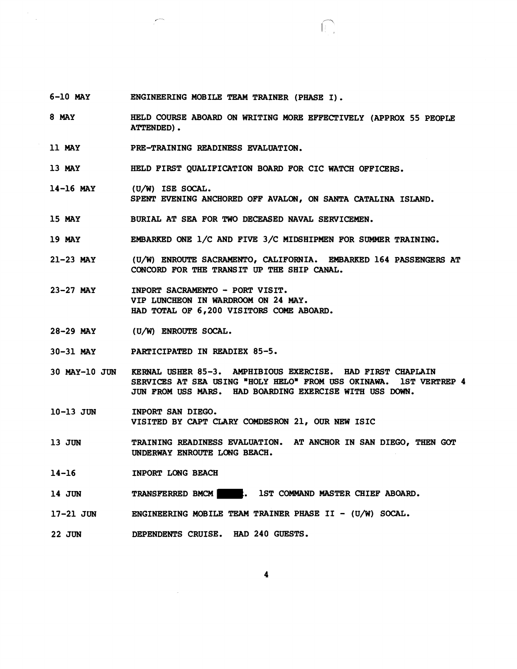- 6-10 MAY ENGINEERING MOBILE TEAM TRAINER (PHASE I).
- 8 MAY HELD COURSE ABOARD ON WRITING MORE EFFECTIVELY (APPROX 55 PEOPLE ATTENDED).
- 11 MAY PRE-TRAINING READINESS EVALUATION.
- 13 MAY HELD FIRST QUALIFICATION BOARD FOR CIC WATCH OFFICERS.
- 14-16 MAY  $(U/W)$  ISE SOCAL. SPENT EVENING ANCHORED OFF AVALON, ON SANTA CATALINA ISLAND.
- 15 MAY BURIAL AT SEA FOR TWO DECEASED NAVAL SERVICEMEN.
- 19 MAY EMBARKED ONE 1/C AND FIVE 3JC MIDSHIPMEN FOR SUMMER TRAINING.
- 21-23 MAY (U/W) ENROUTE SACRAMENTO, CALIFORNIA. EMBARKED 164 PASSENGERS AT CONCORD FOR THE TRANSIT UP THE SHIP CANAL.
- 23-27 MAY INPORT SACRAMENTO - PORT VISIT. VIP LUNCHEON IN WARDROOM ON 24 MAY. HAD TOTAL OF 6,200 VISITORS COME ABOARD.
- 28-29 MAY (U/W) ENROUTE SOCAL.
- 30-31 MAY PARTICIPATED IN READIEX 85-5.
- 30 MAY-10 JUN KERNAL USHER 85-3. AMPHIBIOUS EXERCISE. **HAD** FIRST CHAPLAIN SERVICES AT SEA USING "HOLY HELO" FROM **USS** OKINAWA. 1ST VERTREP 4 JUN FROM USS MARS. HAD BOARDING EXERCISE WITH USS **DOWN.**
- 10-13 JUN INPORT SAN DIEGO. VISITED BY CAPT CLARY COMDE\$RON 21, OUR **NEW** ISIC
- 13 JUN TRAINING READINESS EVALUATION. AT ANCHOR IN SAN DIEGO, THEN GOT UNDERWAY ENROUTE LONG BEACH.
- 14-16 INPORT LONG BEACH
- 14 JUN TRANSFERRED BMCM . 1ST COMMAND MASTER CHIEF ABOARD.
- 17-21 **JUN**  ENGINEERING MOBILE TEAM TRAINER PHASE II -  $(U/W)$  SOCAL.
- 22 JUN DEPENDENTS CRUISE. HAD 240 GUESTS.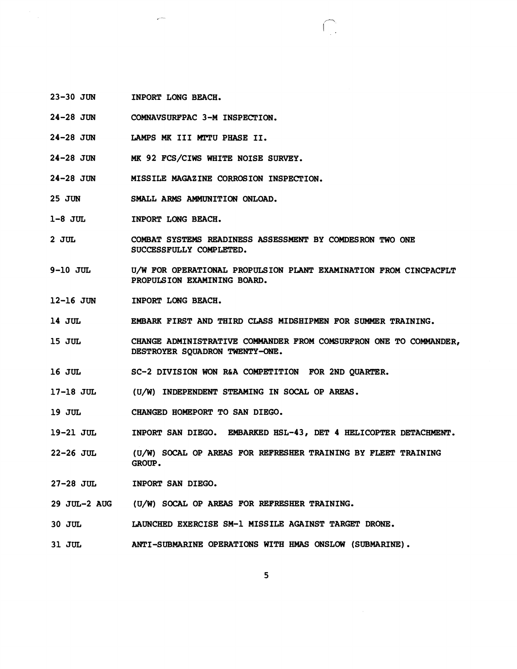- 23-30 JUN INPORT LONG BEACH.
- 24-28 JUN COMNAVSURFPAC 3-M INSPECTION.
- 24-28 JUN LAMPS **MK** I11 MTTU PHASE 11.
- 24-28 JUN **MK** 92 FCS/CIWS WHITE NOISE SURVEY.
- 24-28 JUN MISSILE MAGAZINE CORROSION INSPECTION.
- 25 JUN SMALL ARMS AMMUNITION ONLOAD.
- 1-8 JUL INPORT LONG BEACH.
- 2 JUL COMBAT SYSTEMS READINESS ASSESSMENT BY COMDESRON TWO ONE SUCCESSFULLY COMPLETED.
- 9-10 JUL U/W FOR OPERATIONAL PROPULSION PLANT EXAMINATION FROM CINCPACFLT PROPULSION EXAMINING BOARD.
- 12-16 JUN INPORT LONG BEACH.
- 14 JUL EMBARK FIRST AND THIRD CLASS MIDSHIPMEN FOR SUMMER TRAINING.
- 15 JUL CHANGE ADMINISTRATIVE COMMANDER FROM COMSURFRON ONE TO COMMANDER, DESTROYER SQUADRON TWENTY-ONE.
- 16 JUL SC-2 DIVISION WON R&A COMPETITION FOR 2ND QUARTER.
- 17-18 JUL (U/W) INDEPENDENT STEAMING IN SOCAL OP AREAS.
- 19 JUL CHANGED HOMEPORT TO SAN DIEGO.
- 19-21 JUL INPORT SAN DIEGO. EMBARKED HSL-43, DET 4 HELICOPTER DETACHMENT.
- 22-26 JUL (U/W) SOCAL OP AREAS FOR REFRESHER TRAINING BY FLEET TRAINING GROUP.
- 27-28 JUL INPORT SAN DIEGO.
- 29 JUL-2 AUG (U/W) SOCAL OP AREAS FOR REFRESHER TRAINING.
- 30 JUL LAUNCHED EXERCISE SM-1 MISSILE AGAINST TARGET DRONE.
- 31 JUL ANTI-SUBMARINE OPERATIONS WITH **HMAS** ONSLOW (SUBMARINE).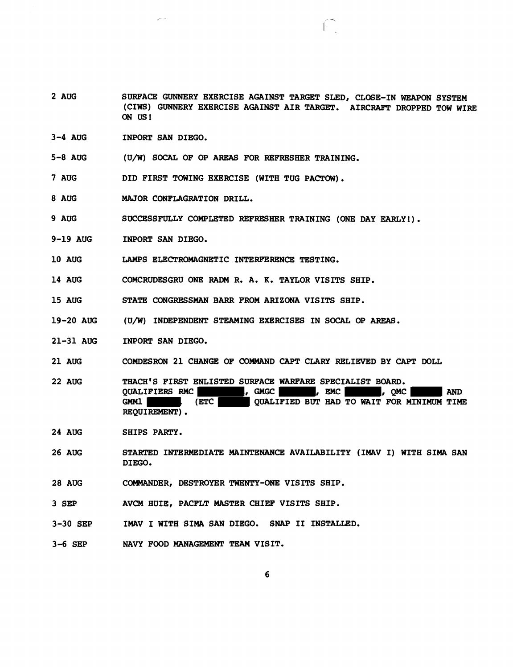- 2 AUG SURFACE GUNNERY EXERCISE AGAINST TARGET SLED, CLOSE-IN WEAPON SYSTEM (CIWS) GUNNERY EXERCISE AGAINST AIR TARGET. AIRCRAFT DROPPED TOW WIRE ON US!
- 3-4 AUG INPORT SAN DIEGO.
- 5-8 AUG (U/W) SOCAL OF OP AREAS FOR REFRESHER TRAINING.
- **7** AUG DID FIRST TOWING EXERCISE (WITH TUG PACTOW).
- 8 AUG MAJOR CONFLAGRATION DRILL.
- 9 AUG SUCCESSFULLY COMPLETED REFRESHER TRAINING (ONE DAY EARLY!).
- 9-19 AUG INPORT SAN DIEGO.
- 10 AUG LAMPS ELECTROMAGNETIC INTERFERENCE TESTING.
- 14 AUG COMCRUDESGRU ONE RADM R. A. **K.** TAYLOR VISITS SHIP.
- 15 AUG STATE CONGRESSMAN BARR FROM ARIZONA VISITS SHIP.
- 19-20 AUG (U/W) INDEPENDENT STEAMING EXERCISES IN SOCAL OP AREAS.
- 21-31 AUG INPORT SAN DIEGO.
- 21 AUG COMDESRON 21 CHANGE OF COMMAND CAPT CLARY RELIEVED BY CAPT DOLL
- 22 AUG THACH'S FIRST ENLISTED SURFACE WARFARE SPECIALIST BOARD. QUALIFIERS RMC **being a set of the contract of the contract of the contract of the contract of the contract of the contract of the contract of the contract of the contract of the contract of the contract of the contract of** GMML GMML (ETC QUALIFIED BUT HAD TO WAIT FOR MINIMUM TIME REQUIREMENT) .
- 24 AUG SHIPS PARTY.
- 26 AUG STARTED INTERMEDIATE MAINTENANCE AVAILABILITY (IMAV I) WITH SIMA SAN DIEGO.
- 28 AUG COMMANDER, DESTROYER TWENTY-ONE VISITS SHIP.
- 3 SEP AVCM HUIE, PACFLT MASTER CHIEF VISITS SHIP.
- 3-30 SEP IMAV I WITH SIMA SAN DIEGO. SNAP I1 INSTALLED.
- 3-6 SEP NAVY FOOD MANAGEMENT TEAM VISIT.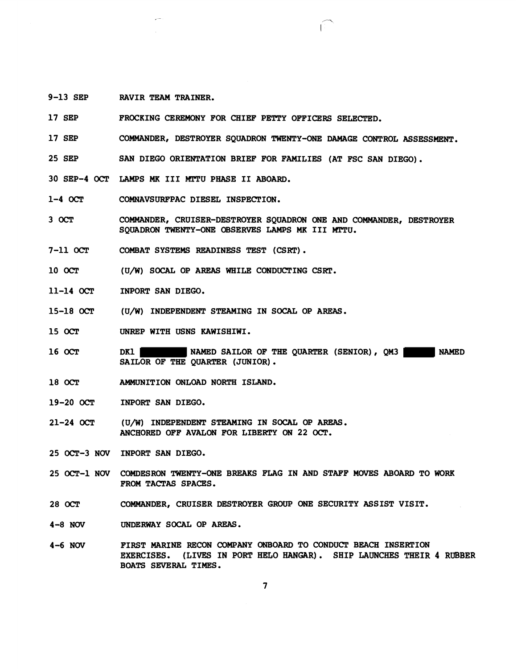9-13 SEP RAVIR TEAM TRAINER.

17 SEP FROCKING CEREMONY FOR CHIEF PETTY OFFICERS SELECTED.

17 SEP COMMANDER, DESTROYER SQUADRON TWENTY-ONE **DAMAGE** CONTROL ASSESSMENT.

25 SEP SAN DIEGO ORIENTATION BRIEF FOR FAMILIES (AT FSC SAN DIEGO).

30 SEP-4 OCT LAMPS **MK** I11 MPTU PHASE I1 ABOARD.

 $1-4$  OCT COMNAVSURFPAC DIESEL INSPECTION.

 $3$  OCT COMMANDER, CRUISER-DESTROYER SQUADRON ONE AND COMMANDER, DESTROYER SOUADRON TWENTY-ONE OBSERVES LAMPS MK III MTTU.

7-11 OCT COMBAT SYSTEMS READINESS TEST (CSRT) .

10 OCT (U/W) SOCAL OP AREAS WIIILE CONDUCTING CSRT.

- 11-14 OCT INPORT SAN DIEGO.
- 15-18 OCT (U/W) INDEPENDENT STEAMING IN SOCAL OP AREAS.
- 15 OCT UNREP WITH USNS KAWISHIWI.
- 16 OCT DK1 NAMED SAILOR OF THE QUARTER (SENIOR), **QM3** NAMED SAILOR OF THE QUARTER (JUNIOR).
- 18 OCr AMMUNITION ONLOAD NORTH ISLAND.
- 19-20 OCT INPORT SAN DIEGO.
- 21-24 OCT (U/W) INDEPENDENT STEAMING IN SOCAL OP **AREAS.**  ANCHOReD OFF AVALON FOR LIBERTY ON 22 OCT.
- 25 OCT-3 NOV INPORT SAN DIEGO.
- COMDESRON TWENTY-ONE BREAKS FLAG IN AND STAFF MOVES ABOARD TO **WORK**  25 OCT-1 NOV FROM TACTAS SPACES.
- 28 OCT COMMANDER, CRUISER DESTROYER GROUP ONE SECURITY ASSIST VISIT.
- $4-8$  NOV UNDERWAY SOCAL OP AREAS.
- 4-6 NW FIRST MARINE RECON COMPANY ONBOARD TO CONDUCT BEACH INSERTION EXERCISES. (LIVES IN PORT HELO HANGAR). SHIP **LAUNCRES** THEIR **4** RUBBER BOATS SEVERAL TIMES.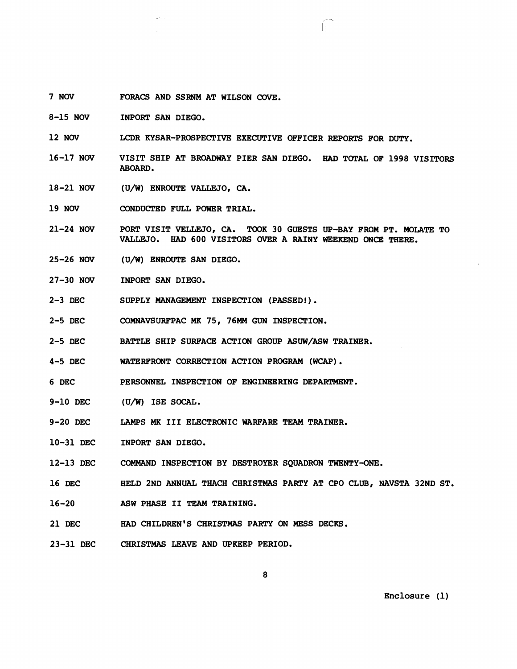- 7 NOV FORACS AND SSRNM AT WILSON **COVE.**
- 8-15 NOV INPORT SAN DIEGO.
- 12 NOV LCDR KYSAR-PROSPECTIVE EXECUTIVE OFFICER REPORTS FOR DUTY.
- 16-17 NOV VISIT SHIP AT BROADWAY PIER SAN DIEGO. HAD TOTAL OF 1998 VISITORS ABOARD.
- 18-21 NOV (U/W) ENROUTE VALLEJO, CA.
- 19 NOV CONDUCTED FULL POWER TRIAL.
- 21-24 NOV PORT VISIT VELLEJO, **CA.** TOOK 30 GUESTS UP-BAY FROM PT. MOLATE TO VALLEJO. HAD 600 VISITORS OVER A RAINY WEEKEND ONCE THERE.
- 25-26 NOV (U/W) ENROUTE SAN DIEGO.
- 27-30 NOV INPORT SAN DIEGO.
- 2-3 DEC SUPPLY MANAGEMENT INSPECTION (PASSED!).
- 2-5 DEC COMNAVSURFPAC **MK** 75, 76MM GUN INSPECTION.
- 2-5 DEC BATTLE SHIP SURFACE ACTION GROUP ASW/ASW TRAINER.
- 4-5 DEC WATERFRONT CORRECTION ACTION PROGRAM **(WCAP).**
- 6 DEC PERSONNEL INSPECTION OF ENGINEERING DEPARTMENT.
- 9-10 DEC (U/W) ISE SOCAL.
- 9-20 DEC LAMPS **MK** I11 ELECTRONIC WARFARE **TEAM** TRAINER.
- 10-31 DEC INPORT SAN DIEGO.
- 12-13 DEC COMMAND INSPECTION BY DESTROYBR SQUADRON TWENTY-ONE.
- 16 DEC HELD 2ND ANNUAL THACH CHRISTMAS PARTY AT CPO CLUB, NAVSTA 32ND ST.
- 16-20 ASW PHASE 11 TEAM TRAINING.
- 21 DEC HAD CHILDREN'S CHRISTMAS PARTY **ON** MESS DECKS.
- 23-31 DEC CHRISTMAS LEAVE AND UPKEEP PERIOD.

Enclosure (1)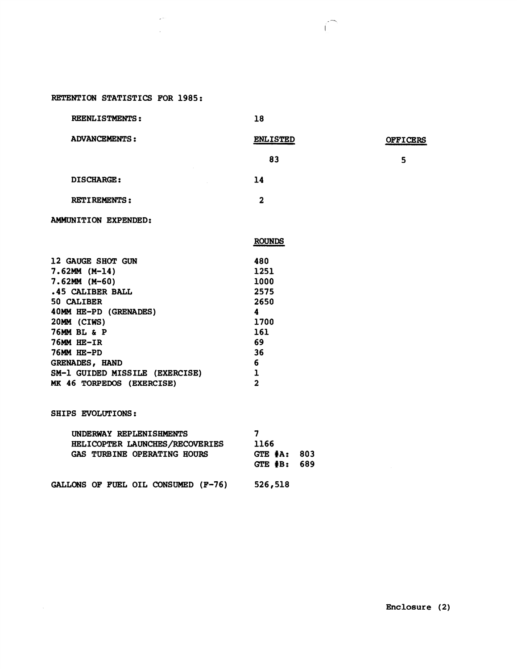# RETENTION STATISTICS FOR 1985:

 $\omega$  .

 $\sim 10$ 

| <b>REENLISTMENTS:</b>          | 18                      |                 |
|--------------------------------|-------------------------|-----------------|
| <b>ADVANCEMENTS:</b>           | <b>ENLISTED</b>         | <b>OFFICERS</b> |
|                                | 83                      | 5               |
| <b>DISCHARGE:</b>              | 14                      |                 |
| <b>RETIREMENTS:</b>            | $\overline{2}$          |                 |
| AMMUNITION EXPENDED:           |                         |                 |
|                                | <b>ROUNDS</b>           |                 |
| 12 GAUGE SHOT GUN              | 480                     |                 |
| $7.62MM (M-14)$                | 1251                    |                 |
| $7.62MM (M-60)$                | 1000                    |                 |
| .45 CALIBER BALL               | 2575                    |                 |
| 50 CALIBER                     | 2650                    |                 |
| 40MM HE-PD (GRENADES)          | $\overline{\mathbf{4}}$ |                 |
| 20MM (CIWS)                    | 1700                    |                 |
| 76MM BL & P                    | 161                     |                 |
| 76MM HE-IR                     | 69                      |                 |
| 76MM HE-PD                     | 36                      |                 |
| GRENADES, HAND                 | 6                       |                 |
| SM-1 GUIDED MISSILE (EXERCISE) | ı                       |                 |
| MK 46 TORPEDOS (EXERCISE)      | $\overline{2}$          |                 |
| SHIPS EVOLUTIONS:              |                         |                 |
| UNDERWAY REPLENISHMENTS        | 7                       |                 |
| HELICOPTER LAUNCHES/RECOVERIES | 1166                    |                 |
| A10 munnium oppoimium Houng    | $\sqrt{2}$              |                 |

 $\curvearrowleft$ 

| HELICOPTER LAUNCHES/RECOVERIES<br>GAS TURBINE OPERATING HOURS | TTOD<br>$GTE$ $A$ .<br>- 803<br>GTE $#B: 689$ |  |
|---------------------------------------------------------------|-----------------------------------------------|--|
| GALLONS OF FUEL OIL CONSUMED (F-76)                           | 526,518                                       |  |